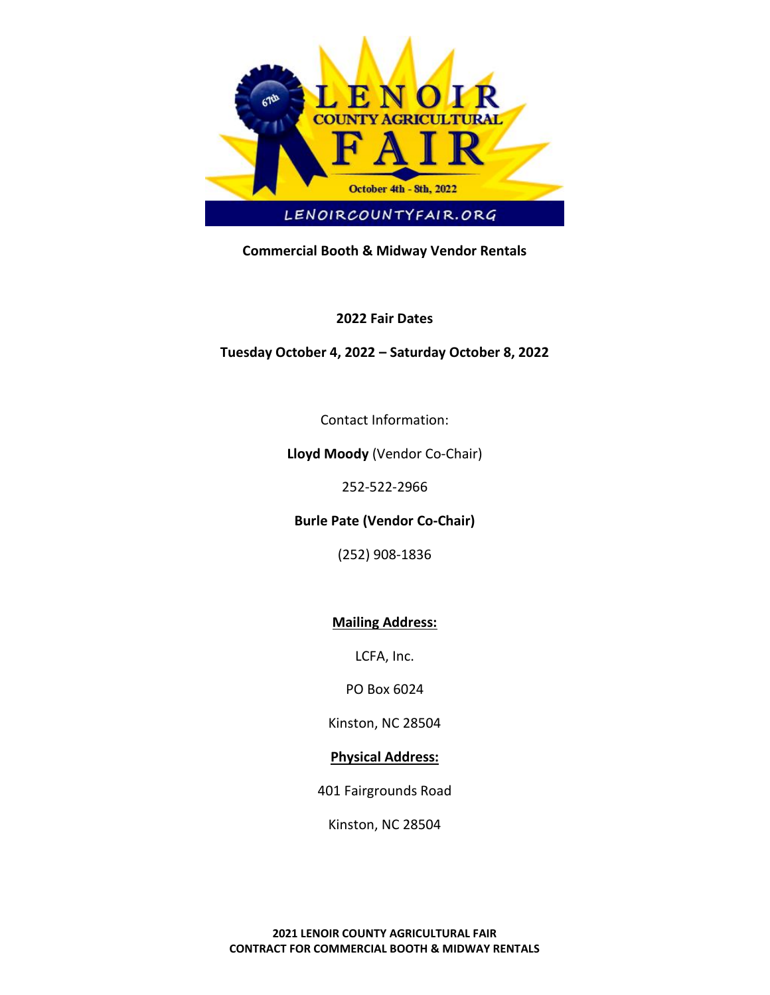

# **Commercial Booth & Midway Vendor Rentals**

### **2022 Fair Dates**

## **Tuesday October 4, 2022 – Saturday October 8, 2022**

Contact Information:

### **Lloyd Moody** (Vendor Co-Chair)

252-522-2966

**Burle Pate (Vendor Co-Chair)**

(252) 908-1836

## **Mailing Address:**

LCFA, Inc.

PO Box 6024

Kinston, NC 28504

## **Physical Address:**

401 Fairgrounds Road

Kinston, NC 28504